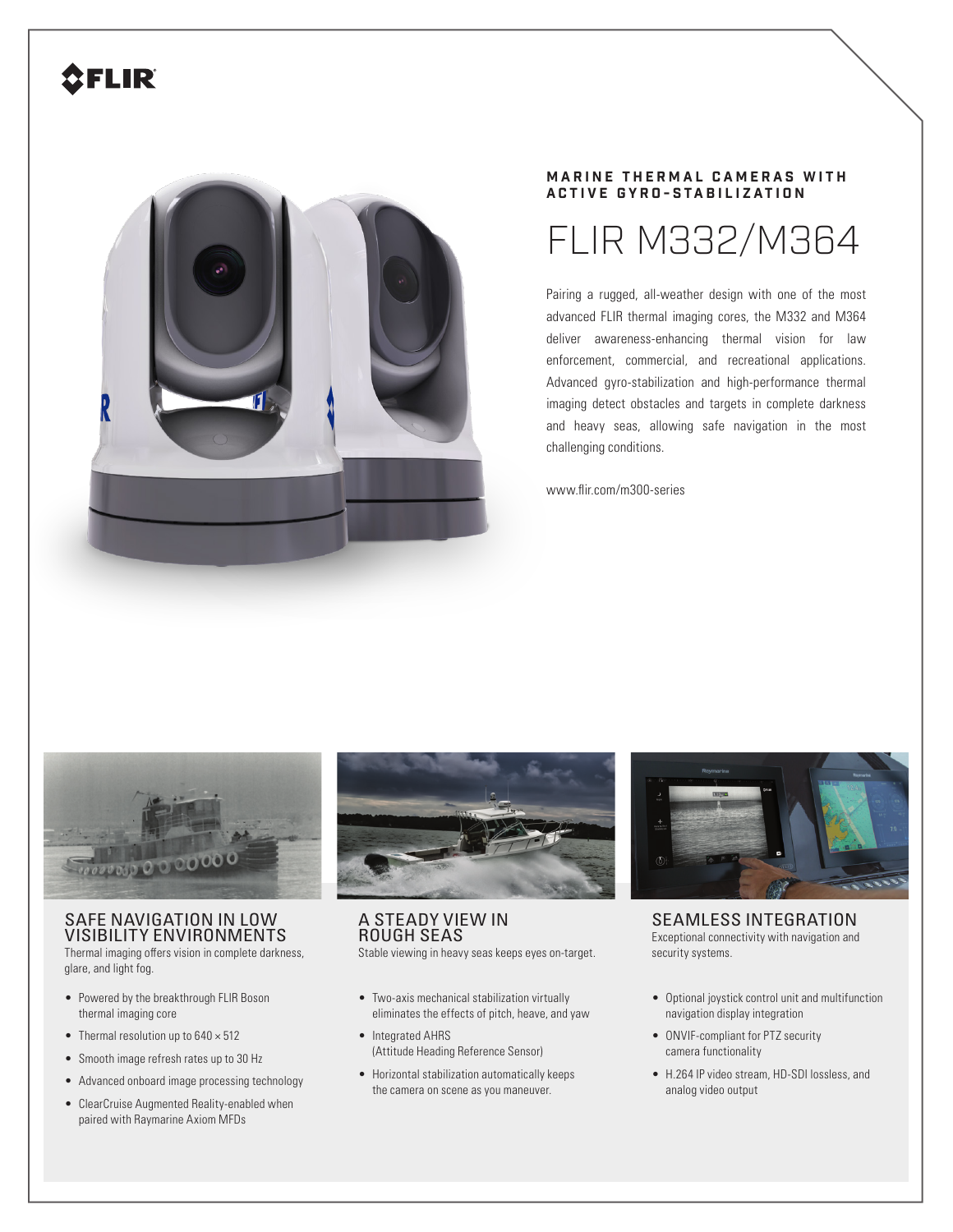# **SFLIR**



## **MARINE THERMAL CAMERAS WITH ACTIVE GYRO-STABILIZATION**

# FLIR M332/M364

Pairing a rugged, all-weather design with one of the most advanced FLIR thermal imaging cores, the M332 and M364 deliver awareness-enhancing thermal vision for law enforcement, commercial, and recreational applications. Advanced gyro-stabilization and high-performance thermal imaging detect obstacles and targets in complete darkness and heavy seas, allowing safe navigation in the most challenging conditions.

www.flir.com/m300-series



## SAFE NAVIGATION IN LOW VISIBILITY ENVIRONMENTS

Thermal imaging offers vision in complete darkness, glare, and light fog.

- Powered by the breakthrough FLIR Boson thermal imaging core
- Thermal resolution up to  $640 \times 512$
- Smooth image refresh rates up to 30 Hz
- Advanced onboard image processing technology
- ClearCruise Augmented Reality-enabled when paired with Raymarine Axiom MFDs



# A STEADY VIEW IN ROUGH SEAS

Stable viewing in heavy seas keeps eyes on-target.

- Two-axis mechanical stabilization virtually eliminates the effects of pitch, heave, and yaw
- Integrated AHRS (Attitude Heading Reference Sensor)
- Horizontal stabilization automatically keeps the camera on scene as you maneuver.



SEAMLESS INTEGRATION Exceptional connectivity with navigation and security systems.

- Optional joystick control unit and multifunction navigation display integration
- ONVIF-compliant for PTZ security camera functionality
- H.264 IP video stream, HD-SDI lossless, and analog video output